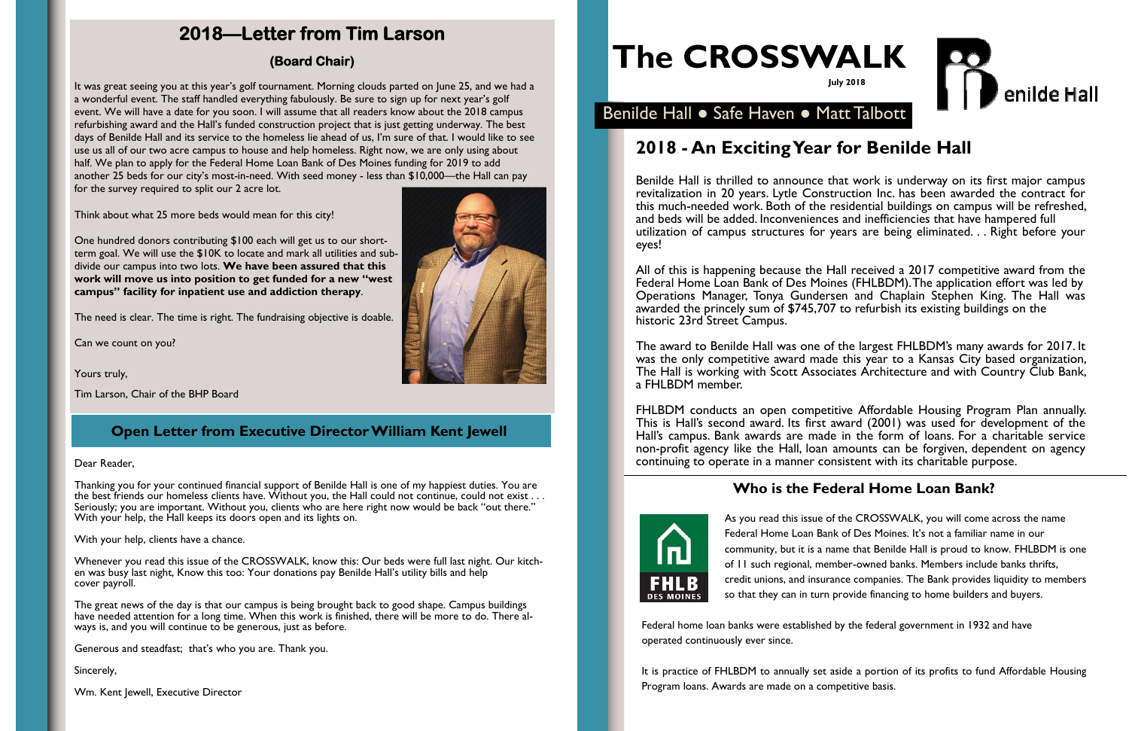# **The CROSSWALK**





# **2018—Letter from Tim Larson**

### **(Board Chair)**

## **Who is the Federal Home Loan Bank?**



As you read this issue of the CROSSWALK, you will come across the name Federal Home Loan Bank of Des Moines. It's not a familiar name in our community, but it is a name that Benilde Hall is proud to know. FHLBDM is one of 11 such regional, member-owned banks. Members include banks thrifts, credit unions, and insurance companies. The Bank provides liquidity to members so that they can in turn provide financing to home builders and buyers.

Federal home loan banks were established by the federal government in 1932 and have operated continuously ever since.

It is practice of FHLBDM to annually set aside a portion of its profits to fund Affordable Housing Program loans. Awards are made on a competitive basis.

## **Open Letter from Executive Director William Kent Jewell**

# **2018 - An Exciting Year for Benilde Hall**

Benilde Hall is thrilled to announce that work is underway on its first major campus revitalization in 20 years. Lytle Construction Inc. has been awarded the contract for this much-needed work. Both of the residential buildings on campus will be refreshed, and beds will be added. Inconveniences and inefficiencies that have hampered full utilization of campus structures for years are being eliminated. . . Right before your eyes!

All of this is happening because the Hall received a 2017 competitive award from the Federal Home Loan Bank of Des Moines (FHLBDM). The application effort was led by Operations Manager, Tonya Gundersen and Chaplain Stephen King. The Hall was awarded the princely sum of \$745,707 to refurbish its existing buildings on the historic 23rd Street Campus.

The award to Benilde Hall was one of the largest FHLBDM's many awards for 2017. It was the only competitive award made this year to a Kansas City based organization, The Hall is working with Scott Associates Architecture and with Country Club Bank, a FHLBDM member.

Thanking you for your continued financial support of Benilde Hall is one of my happiest duties. You are the best friends our homeless clients have. Without you, the Hall could not continue, could not exist . . . Seriously; you are important. Without you, clients who are here right now would be back "out there." With your help, the Hall keeps its doors open and its lights on.

FHLBDM conducts an open competitive Affordable Housing Program Plan annually. This is Hall's second award. Its first award (2001) was used for development of the Hall's campus. Bank awards are made in the form of loans. For a charitable service non-profit agency like the Hall, loan amounts can be forgiven, dependent on agency continuing to operate in a manner consistent with its charitable purpose.

It was great seeing you at this year's golf tournament. Morning clouds parted on June 25, and we had a a wonderful event. The staff handled everything fabulously. Be sure to sign up for next year's golf event. We will have a date for you soon. I will assume that all readers know about the 2018 campus refurbishing award and the Hall's funded construction project that is just getting underway. The best days of Benilde Hall and its service to the homeless lie ahead of us, I'm sure of that. I would like to see use us all of our two acre campus to house and help homeless. Right now, we are only using about half. We plan to apply for the Federal Home Loan Bank of Des Moines funding for 2019 to add another 25 beds for our city's most-in-need. With seed money - less than \$10,000—the Hall can pay for the survey required to split our 2 acre lot.

Think about what 25 more beds would mean for this city!

One hundred donors contributing \$100 each will get us to our shortterm goal. We will use the \$10K to locate and mark all utilities and subdivide our campus into two lots. **We have been assured that this work will move us into position to get funded for a new "west campus" facility for inpatient use and addiction therapy**.

The need is clear. The time is right. The fundraising objective is doable.

Can we count on you?

Yours truly,

Tim Larson, Chair of the BHP Board

Dear Reader,

With your help, clients have a chance.

Whenever you read this issue of the CROSSWALK, know this: Our beds were full last night. Our kitchen was busy last night, Know this too: Your donations pay Benilde Hall's utility bills and help cover payroll.

The great news of the day is that our campus is being brought back to good shape. Campus buildings have needed attention for a long time. When this work is finished, there will be more to do. There always is, and you will continue to be generous, just as before.

Generous and steadfast; that's who you are. Thank you.

Sincerely,

Wm. Kent Jewell, Executive Director



## Benilde Hall ● Safe Haven ● Matt Talbott